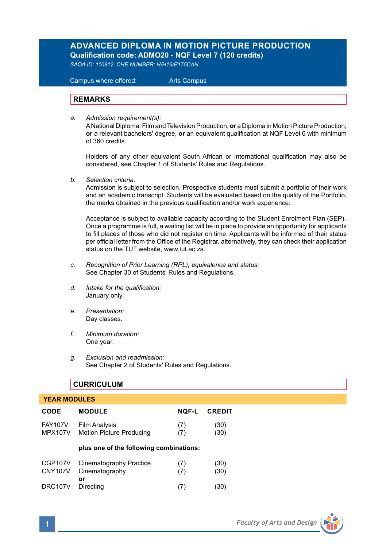# **ADVANCED DIPLOMA IN MOTION PICTURE PRODUCTION Qualification code: ADMO20 - NQF Level 7 (120 credits)**

*SAQA ID: 110812, CHE NUMBER: H/H16/E175CAN*

 Campus where offered: Arts Campus

# **REMARKS**

*a. Admission requirement(s):* 

A National Diploma: Film and Television Production, **or** a Diploma in Motion Picture Production, **or** a relevant bachelors' degree, **or** an equivalent qualification at NQF Level 6 with minimum of 360 credits.

Holders of any other equivalent South African or international qualification may also be considered, see Chapter 1 of Students' Rules and Regulations.

*b. Selection criteria:*

Admission is subject to selection. Prospective students must submit a portfolio of their work and an academic transcript. Students will be evaluated based on the quality of the Portfolio, the marks obtained in the previous qualification and/or work experience.

 Acceptance is subject to available capacity according to the Student Enrolment Plan (SEP). Once a programme is full, a waiting list will be in place to provide an opportunity for applicants to fill places of those who did not register on time. Applicants will be informed of their status per official letter from the Office of the Registrar, alternatively, they can check their application status on the TUT website, www.tut.ac.za.

- *c. Recognition of Prior Learning (RPL), equivalence and status:* See Chapter 30 of Students' Rules and Regulations.
- *d. Intake for the qualification:* January only.
- *e. Presentation:* Day classes.
- *f. Minimum duration:* One year.
- *g. Exclusion and readmission:* See Chapter 2 of Students' Rules and Regulations.

# **CURRICULUM**

# **YEAR MODULES CODE MODULE NQF-L CREDIT** FAY107V Film Analysis (7) (30)<br>MPX107V Motion Picture Producing (7) (30) **Motion Picture Producing plus one of the following combinations:** CGP107V Cinematography Practice (7) (30)<br>CNY107V Cinematography (7) (30) Cinematography **or** DRC107V Directing (7) (30)

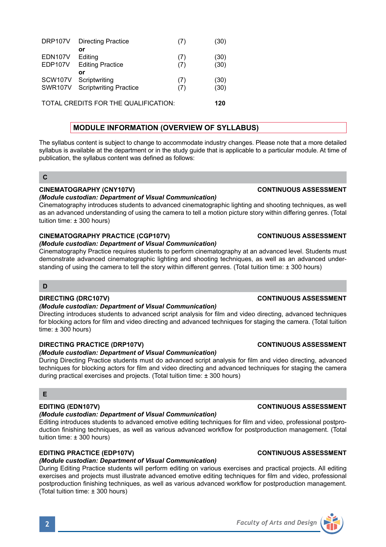| <b>DRP107V</b> | <b>Directing Practice</b>     | (7) | (30) |
|----------------|-------------------------------|-----|------|
|                | or                            |     |      |
| EDN107V        | Editing                       | (7) | (30) |
| EDP107V        | <b>Editing Practice</b>       | (7) | (30) |
|                | or                            |     |      |
| SCW107V        | Scriptwriting                 | (7) | (30) |
| SWR107V        | <b>Scriptwriting Practice</b> | (7) | (30) |
|                |                               |     |      |
|                |                               |     |      |

TOTAL CREDITS FOR THE QUALIFICATION: **120**

# **MODULE INFORMATION (OVERVIEW OF SYLLABUS)**

The syllabus content is subject to change to accommodate industry changes. Please note that a more detailed syllabus is available at the department or in the study guide that is applicable to a particular module. At time of publication, the syllabus content was defined as follows:

## **C**

## **CINEMATOGRAPHY (CNY107V) CONTINUOUS ASSESSMENT**

### *(Module custodian: Department of Visual Communication)*

Cinematography introduces students to advanced cinematographic lighting and shooting techniques, as well as an advanced understanding of using the camera to tell a motion picture story within differing genres. (Total tuition time: ± 300 hours)

# **CINEMATOGRAPHY PRACTICE (CGP107V) CONTINUOUS ASSESSMENT**

### *(Module custodian: Department of Visual Communication)*

Cinematography Practice requires students to perform cinematography at an advanced level. Students must demonstrate advanced cinematographic lighting and shooting techniques, as well as an advanced understanding of using the camera to tell the story within different genres. (Total tuition time: ± 300 hours)

# **D**

# **DIRECTING (DRC107V) CONTINUOUS ASSESSMENT**

### *(Module custodian: Department of Visual Communication)*

Directing introduces students to advanced script analysis for film and video directing, advanced techniques for blocking actors for film and video directing and advanced techniques for staging the camera. (Total tuition  $time: + 300$  hours)

# **DIRECTING PRACTICE (DRP107V) CONTINUOUS ASSESSMENT**

# *(Module custodian: Department of Visual Communication)*

During Directing Practice students must do advanced script analysis for film and video directing, advanced techniques for blocking actors for film and video directing and advanced techniques for staging the camera during practical exercises and projects. (Total tuition time: ± 300 hours)

### **E**

# *(Module custodian: Department of Visual Communication)*

Editing introduces students to advanced emotive editing techniques for film and video, professional postproduction finishing techniques, as well as various advanced workflow for postproduction management. (Total tuition time: ± 300 hours)

# **EDITING PRACTICE (EDP107V) CONTINUOUS ASSESSMENT**

# *(Module custodian: Department of Visual Communication)*

During Editing Practice students will perform editing on various exercises and practical projects. All editing exercises and projects must illustrate advanced emotive editing techniques for film and video, professional postproduction finishing techniques, as well as various advanced workflow for postproduction management. (Total tuition time: ± 300 hours)

# **EDITING (EDN107V) CONTINUOUS ASSESSMENT**